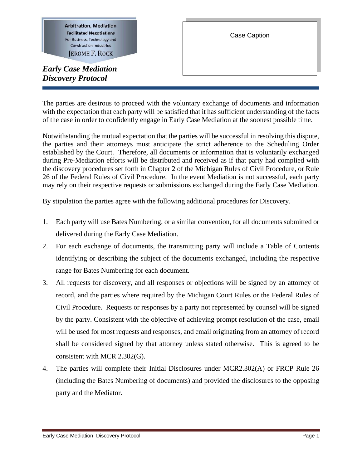**Arbitration, Mediation Facilitated Negotiations** For Business, Technology and **Construction Industries** 

**JEROME F. ROCK** 

*Early Case Mediation Discovery Protocol* 

I

The parties are desirous to proceed with the voluntary exchange of documents and information with the expectation that each party will be satisfied that it has sufficient understanding of the facts of the case in order to confidently engage in Early Case Mediation at the soonest possible time.

Notwithstanding the mutual expectation that the parties will be successful in resolving this dispute, the parties and their attorneys must anticipate the strict adherence to the Scheduling Order established by the Court. Therefore, all documents or information that is voluntarily exchanged during Pre-Mediation efforts will be distributed and received as if that party had complied with the discovery procedures set forth in Chapter 2 of the Michigan Rules of Civil Procedure, or Rule 26 of the Federal Rules of Civil Procedure. In the event Mediation is not successful, each party may rely on their respective requests or submissions exchanged during the Early Case Mediation.

By stipulation the parties agree with the following additional procedures for Discovery.

- 1. Each party will use Bates Numbering, or a similar convention, for all documents submitted or delivered during the Early Case Mediation.
- 2. For each exchange of documents, the transmitting party will include a Table of Contents identifying or describing the subject of the documents exchanged, including the respective range for Bates Numbering for each document.
- 3. All requests for discovery, and all responses or objections will be signed by an attorney of record, and the parties where required by the Michigan Court Rules or the Federal Rules of Civil Procedure. Requests or responses by a party not represented by counsel will be signed by the party. Consistent with the objective of achieving prompt resolution of the case, email will be used for most requests and responses, and email originating from an attorney of record shall be considered signed by that attorney unless stated otherwise. This is agreed to be consistent with MCR 2.302(G).
- 4. The parties will complete their Initial Disclosures under MCR2.302(A) or FRCP Rule 26 (including the Bates Numbering of documents) and provided the disclosures to the opposing party and the Mediator.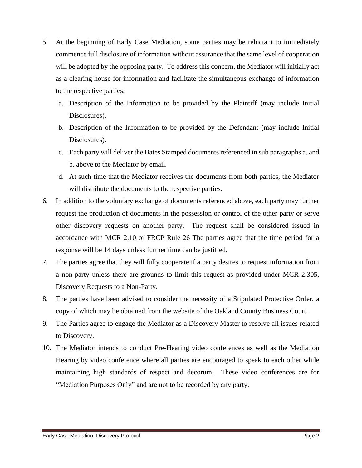- 5. At the beginning of Early Case Mediation, some parties may be reluctant to immediately commence full disclosure of information without assurance that the same level of cooperation will be adopted by the opposing party. To address this concern, the Mediator will initially act as a clearing house for information and facilitate the simultaneous exchange of information to the respective parties.
	- a. Description of the Information to be provided by the Plaintiff (may include Initial Disclosures).
	- b. Description of the Information to be provided by the Defendant (may include Initial Disclosures).
	- c. Each party will deliver the Bates Stamped documents referenced in sub paragraphs a. and b. above to the Mediator by email.
	- d. At such time that the Mediator receives the documents from both parties, the Mediator will distribute the documents to the respective parties.
- 6. In addition to the voluntary exchange of documents referenced above, each party may further request the production of documents in the possession or control of the other party or serve other discovery requests on another party. The request shall be considered issued in accordance with MCR 2.10 or FRCP Rule 26 The parties agree that the time period for a response will be 14 days unless further time can be justified.
- 7. The parties agree that they will fully cooperate if a party desires to request information from a non-party unless there are grounds to limit this request as provided under MCR 2.305, Discovery Requests to a Non-Party.
- 8. The parties have been advised to consider the necessity of a Stipulated Protective Order, a copy of which may be obtained from the website of the Oakland County Business Court.
- 9. The Parties agree to engage the Mediator as a Discovery Master to resolve all issues related to Discovery.
- 10. The Mediator intends to conduct Pre-Hearing video conferences as well as the Mediation Hearing by video conference where all parties are encouraged to speak to each other while maintaining high standards of respect and decorum. These video conferences are for "Mediation Purposes Only" and are not to be recorded by any party.